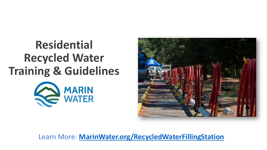## **Residential Recycled Water Training & Guidelines**





Learn More: **[MarinWater.org/RecycledWaterFillingStation](https://www.marinwater.org/recycledwaterfillingstation)**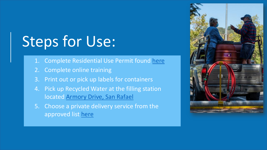# Steps for Use:

- 1. Complete Residential Use Permit found [here](https://www.marinwater.org/sites/default/files/2022-03/Residential%20Recycled%20Water%20Pickup%20Permit%20Packet_20220309_1.pdf)
- 2. Complete online training
- 3. Print out or pick up labels for containers
- 4. Pick up Recycled Water at the filling station located [Armory Drive, San Rafael](https://www.google.com/maps/place/Armory+Dr,+San+Rafael,+CA+94903/@38.000113,-122.531322,17z/data=!3m1!4b1!4m5!3m4!1s0x808599d3c4cb33e3:0x995444d5a418a156!8m2!3d38.000113!4d-122.5291333)
- 5. Choose a private delivery service from the approved list [here](https://www.marinwater.org/sites/default/files/2021-09/List%20of%20Permitted%20RW%20Haulers.pdf)

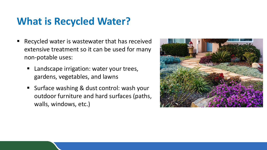### **What is Recycled Water?**

- Recycled water is wastewater that has received extensive treatment so it can be used for many non-potable uses:
	- Landscape irrigation: water your trees, gardens, vegetables, and lawns
	- Surface washing & dust control: wash your outdoor furniture and hard surfaces (paths, walls, windows, etc.)

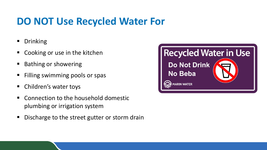#### **DO NOT Use Recycled Water For**

- **Drinking**
- Cooking or use in the kitchen
- Bathing or showering
- Filling swimming pools or spas
- **E** Children's water toys
- Connection to the household domestic plumbing or irrigation system
- Discharge to the street gutter or storm drain

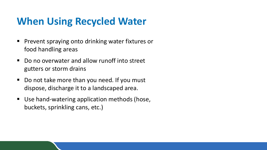#### **When Using Recycled Water**

- Prevent spraying onto drinking water fixtures or food handling areas
- Do no overwater and allow runoff into street gutters or storm drains
- Do not take more than you need. If you must dispose, discharge it to a landscaped area.
- Use hand-watering application methods (hose, buckets, sprinkling cans, etc.)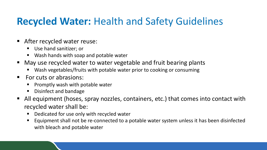#### **Recycled Water:** Health and Safety Guidelines

- **After recycled water reuse:** 
	- Use hand sanitizer; or
	- Wash hands with soap and potable water
- May use recycled water to water vegetable and fruit bearing plants
	- Wash vegetables/fruits with potable water prior to cooking or consuming
- For cuts or abrasions:
	- $\blacksquare$  Promptly wash with potable water
	- Disinfect and bandage
- All equipment (hoses, spray nozzles, containers, etc.) that comes into contact with recycled water shall be:
	- **Dedicated for use only with recycled water**
	- **Examber 1** Equipment shall not be re-connected to a potable water system unless it has been disinfected with bleach and potable water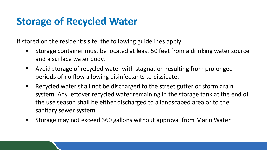#### **Storage of Recycled Water**

If stored on the resident's site, the following guidelines apply:

- **Storage container must be located at least 50 feet from a drinking water source** and a surface water body.
- Avoid storage of recycled water with stagnation resulting from prolonged periods of no flow allowing disinfectants to dissipate.
- Recycled water shall not be discharged to the street gutter or storm drain system. Any leftover recycled water remaining in the storage tank at the end of the use season shall be either discharged to a landscaped area or to the sanitary sewer system
- **Storage may not exceed 360 gallons without approval from Marin Water**